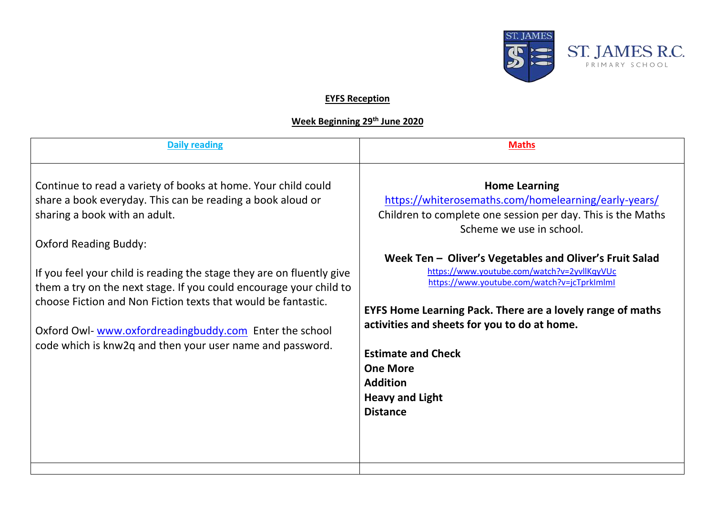

## **EYFS Reception**

## **Week Beginning 29th June 2020**

| Continue to read a variety of books at home. Your child could<br><b>Home Learning</b><br>https://whiterosemaths.com/homelearning/early-years/<br>share a book everyday. This can be reading a book aloud or<br>sharing a book with an adult.<br>Children to complete one session per day. This is the Maths<br>Scheme we use in school.<br><b>Oxford Reading Buddy:</b><br>Week Ten - Oliver's Vegetables and Oliver's Fruit Salad<br>https://www.youtube.com/watch?v=2yvllKqyVUc<br>If you feel your child is reading the stage they are on fluently give<br>https://www.youtube.com/watch?v=jcTprkImlmI<br>them a try on the next stage. If you could encourage your child to<br>choose Fiction and Non Fiction texts that would be fantastic.<br><b>EYFS Home Learning Pack. There are a lovely range of maths</b><br>activities and sheets for you to do at home.<br>Oxford Owl- www.oxfordreadingbuddy.com Enter the school<br>code which is knw2q and then your user name and password.<br><b>Estimate and Check</b><br><b>One More</b><br><b>Addition</b><br><b>Heavy and Light</b><br><b>Distance</b> | <b>Daily reading</b> | <b>Maths</b> |
|---------------------------------------------------------------------------------------------------------------------------------------------------------------------------------------------------------------------------------------------------------------------------------------------------------------------------------------------------------------------------------------------------------------------------------------------------------------------------------------------------------------------------------------------------------------------------------------------------------------------------------------------------------------------------------------------------------------------------------------------------------------------------------------------------------------------------------------------------------------------------------------------------------------------------------------------------------------------------------------------------------------------------------------------------------------------------------------------------------------|----------------------|--------------|
|                                                                                                                                                                                                                                                                                                                                                                                                                                                                                                                                                                                                                                                                                                                                                                                                                                                                                                                                                                                                                                                                                                               |                      |              |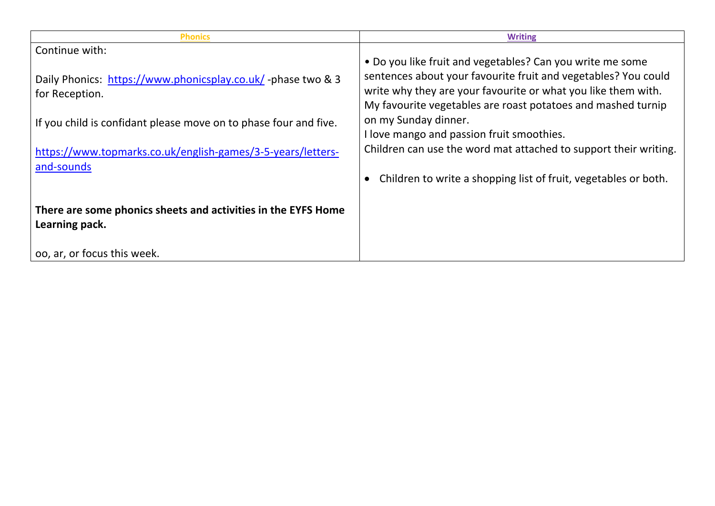| <b>Phonics</b>                                                                  | <b>Writing</b>                                                                                                                                                                                                                                               |
|---------------------------------------------------------------------------------|--------------------------------------------------------------------------------------------------------------------------------------------------------------------------------------------------------------------------------------------------------------|
| Continue with:                                                                  |                                                                                                                                                                                                                                                              |
| Daily Phonics: https://www.phonicsplay.co.uk/-phase two & 3<br>for Reception.   | • Do you like fruit and vegetables? Can you write me some<br>sentences about your favourite fruit and vegetables? You could<br>write why they are your favourite or what you like them with.<br>My favourite vegetables are roast potatoes and mashed turnip |
| If you child is confidant please move on to phase four and five.                | on my Sunday dinner.<br>I love mango and passion fruit smoothies.                                                                                                                                                                                            |
| https://www.topmarks.co.uk/english-games/3-5-years/letters-<br>and-sounds       | Children can use the word mat attached to support their writing.                                                                                                                                                                                             |
|                                                                                 | Children to write a shopping list of fruit, vegetables or both.                                                                                                                                                                                              |
| There are some phonics sheets and activities in the EYFS Home<br>Learning pack. |                                                                                                                                                                                                                                                              |
| oo, ar, or focus this week.                                                     |                                                                                                                                                                                                                                                              |